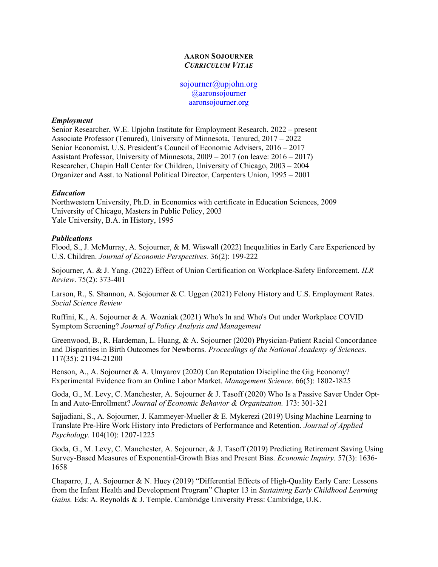## AARON SOJOURNER CURRICULUM VITAE

sojourner@upjohn.org @aaronsojourner aaronsojourner.org

## Employment

Senior Researcher, W.E. Upjohn Institute for Employment Research, 2022 – present Associate Professor (Tenured), University of Minnesota, Tenured, 2017 – 2022 Senior Economist, U.S. President's Council of Economic Advisers, 2016 – 2017 Assistant Professor, University of Minnesota, 2009 – 2017 (on leave: 2016 – 2017) Researcher, Chapin Hall Center for Children, University of Chicago, 2003 – 2004 Organizer and Asst. to National Political Director, Carpenters Union, 1995 – 2001

# Education

Northwestern University, Ph.D. in Economics with certificate in Education Sciences, 2009 University of Chicago, Masters in Public Policy, 2003 Yale University, B.A. in History, 1995

## **Publications**

Flood, S., J. McMurray, A. Sojourner, & M. Wiswall (2022) Inequalities in Early Care Experienced by U.S. Children. Journal of Economic Perspectives. 36(2): 199-222

Sojourner, A. & J. Yang. (2022) Effect of Union Certification on Workplace-Safety Enforcement. ILR Review. 75(2): 373-401

Larson, R., S. Shannon, A. Sojourner & C. Uggen (2021) Felony History and U.S. Employment Rates. Social Science Review

Ruffini, K., A. Sojourner & A. Wozniak (2021) Who's In and Who's Out under Workplace COVID Symptom Screening? Journal of Policy Analysis and Management

Greenwood, B., R. Hardeman, L. Huang, & A. Sojourner (2020) Physician-Patient Racial Concordance and Disparities in Birth Outcomes for Newborns. Proceedings of the National Academy of Sciences. 117(35): 21194-21200

Benson, A., A. Sojourner & A. Umyarov (2020) Can Reputation Discipline the Gig Economy? Experimental Evidence from an Online Labor Market. Management Science. 66(5): 1802-1825

Goda, G., M. Levy, C. Manchester, A. Sojourner & J. Tasoff (2020) Who Is a Passive Saver Under Opt-In and Auto-Enrollment? Journal of Economic Behavior & Organization. 173: 301-321

Sajjadiani, S., A. Sojourner, J. Kammeyer-Mueller & E. Mykerezi (2019) Using Machine Learning to Translate Pre-Hire Work History into Predictors of Performance and Retention. Journal of Applied Psychology. 104(10): 1207-1225

Goda, G., M. Levy, C. Manchester, A. Sojourner, & J. Tasoff (2019) Predicting Retirement Saving Using Survey-Based Measures of Exponential-Growth Bias and Present Bias. Economic Inquiry. 57(3): 1636- 1658

Chaparro, J., A. Sojourner & N. Huey (2019) "Differential Effects of High-Quality Early Care: Lessons from the Infant Health and Development Program" Chapter 13 in Sustaining Early Childhood Learning Gains. Eds: A. Reynolds & J. Temple. Cambridge University Press: Cambridge, U.K.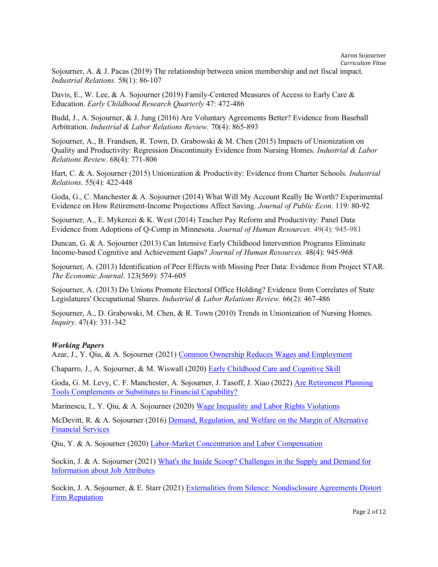Sojourner, A. & J. Pacas (2019) The relationship between union membership and net fiscal impact. Industrial Relations. 58(1): 86-107

Davis, E., W. Lee, & A. Sojourner (2019) Family-Centered Measures of Access to Early Care & Education. Early Childhood Research Quarterly 47: 472-486

Budd, J., A. Sojourner, & J. Jung (2016) Are Voluntary Agreements Better? Evidence from Baseball Arbitration. Industrial & Labor Relations Review. 70(4): 865-893

Sojourner, A., B. Frandsen, R. Town, D. Grabowski & M. Chen (2015) Impacts of Unionization on Quality and Productivity: Regression Discontinuity Evidence from Nursing Homes. *Industrial & Labor* Relations Review. 68(4): 771-806

Hart, C. & A. Sojourner (2015) Unionization & Productivity: Evidence from Charter Schools. Industrial Relations. 55(4): 422-448

Goda, G., C. Manchester & A. Sojourner (2014) What Will My Account Really Be Worth? Experimental Evidence on How Retirement-Income Projections Affect Saving. Journal of Public Econ. 119: 80-92

Sojourner, A., E. Mykerezi & K. West (2014) Teacher Pay Reform and Productivity: Panel Data Evidence from Adoptions of Q-Comp in Minnesota. Journal of Human Resources. 49(4): 945-981

Duncan, G. & A. Sojourner (2013) Can Intensive Early Childhood Intervention Programs Eliminate Income-based Cognitive and Achievement Gaps? Journal of Human Resources. 48(4): 945-968

Sojourner, A. (2013) Identification of Peer Effects with Missing Peer Data: Evidence from Project STAR. The Economic Journal. 123(569): 574-605

Sojourner, A. (2013) Do Unions Promote Electoral Office Holding? Evidence from Correlates of State Legislatures' Occupational Shares. Industrial & Labor Relations Review. 66(2): 467-486

Sojourner, A., D. Grabowski, M. Chen, & R. Town (2010) Trends in Unionization of Nursing Homes. Inquiry. 47(4): 331-342

# Working Papers

Azar, J., Y. Qiu, & A. Sojourner (2021) Common Ownership Reduces Wages and Employment

Chaparro, J., A. Sojourner, & M. Wiswall (2020) Early Childhood Care and Cognitive Skill

Goda, G. M. Levy, C. F. Manchester, A. Sojourner, J. Tasoff, J. Xiao (2022) Are Retirement Planning Tools Complements or Substitutes to Financial Capability?

Marinescu, I., Y. Qiu, & A. Sojourner (2020) Wage Inequality and Labor Rights Violations

McDevitt, R. & A. Sojourner (2016) Demand, Regulation, and Welfare on the Margin of Alternative Financial Services

Qiu, Y. & A. Sojourner (2020) Labor-Market Concentration and Labor Compensation

Sockin, J. & A. Sojourner (2021) What's the Inside Scoop? Challenges in the Supply and Demand for Information about Job Attributes

Sockin, J. A. Sojourner, & E. Starr (2021) Externalities from Silence: Nondisclosure Agreements Distort Firm Reputation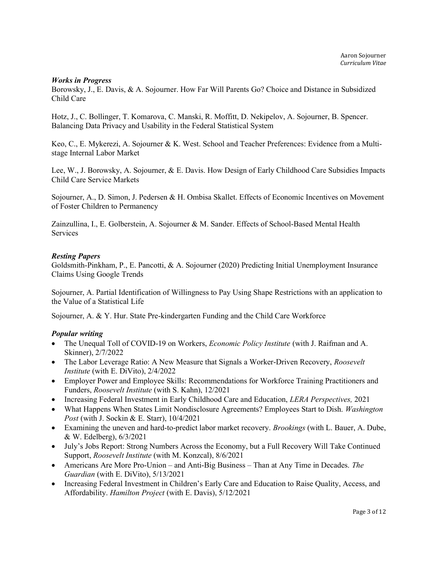## Works in Progress

Borowsky, J., E. Davis, & A. Sojourner. How Far Will Parents Go? Choice and Distance in Subsidized Child Care

Hotz, J., C. Bollinger, T. Komarova, C. Manski, R. Moffitt, D. Nekipelov, A. Sojourner, B. Spencer. Balancing Data Privacy and Usability in the Federal Statistical System

Keo, C., E. Mykerezi, A. Sojourner & K. West. School and Teacher Preferences: Evidence from a Multistage Internal Labor Market

Lee, W., J. Borowsky, A. Sojourner, & E. Davis. How Design of Early Childhood Care Subsidies Impacts Child Care Service Markets

Sojourner, A., D. Simon, J. Pedersen & H. Ombisa Skallet. Effects of Economic Incentives on Movement of Foster Children to Permanency

Zainzullina, I., E. Golberstein, A. Sojourner & M. Sander. Effects of School-Based Mental Health Services

## Resting Papers

Goldsmith-Pinkham, P., E. Pancotti, & A. Sojourner (2020) Predicting Initial Unemployment Insurance Claims Using Google Trends

Sojourner, A. Partial Identification of Willingness to Pay Using Shape Restrictions with an application to the Value of a Statistical Life

Sojourner, A. & Y. Hur. State Pre-kindergarten Funding and the Child Care Workforce

# Popular writing

- The Unequal Toll of COVID-19 on Workers, *Economic Policy Institute* (with J. Raifman and A. Skinner), 2/7/2022
- The Labor Leverage Ratio: A New Measure that Signals a Worker-Driven Recovery, Roosevelt Institute (with E. DiVito), 2/4/2022
- Employer Power and Employee Skills: Recommendations for Workforce Training Practitioners and Funders, Roosevelt Institute (with S. Kahn), 12/2021
- Increasing Federal Investment in Early Childhood Care and Education, *LERA Perspectives*, 2021
- What Happens When States Limit Nondisclosure Agreements? Employees Start to Dish. Washington Post (with J. Sockin & E. Starr), 10/4/2021
- Examining the uneven and hard-to-predict labor market recovery. Brookings (with L. Bauer, A. Dube, & W. Edelberg), 6/3/2021
- July's Jobs Report: Strong Numbers Across the Economy, but a Full Recovery Will Take Continued Support, Roosevelt Institute (with M. Konzcal), 8/6/2021
- Americans Are More Pro-Union and Anti-Big Business Than at Any Time in Decades. The Guardian (with E. DiVito), 5/13/2021
- Increasing Federal Investment in Children's Early Care and Education to Raise Quality, Access, and Affordability. Hamilton Project (with E. Davis), 5/12/2021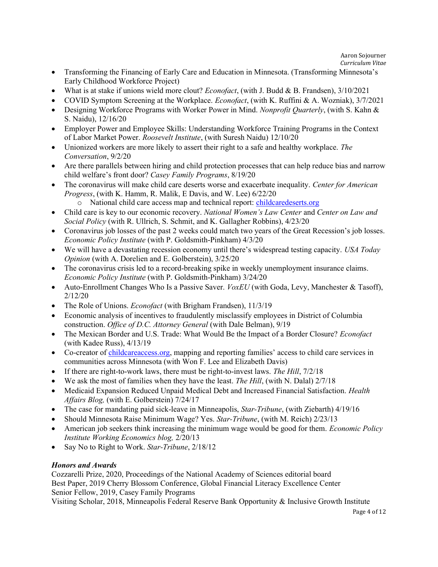- Transforming the Financing of Early Care and Education in Minnesota. (Transforming Minnesota's Early Childhood Workforce Project)
- What is at stake if unions wield more clout? *Econofact*, (with J. Budd & B. Frandsen), 3/10/2021
- COVID Symptom Screening at the Workplace. *Econofact*, (with K. Ruffini & A. Wozniak), 3/7/2021
- Designing Workforce Programs with Worker Power in Mind. *Nonprofit Quarterly*, (with S. Kahn & S. Naidu), 12/16/20
- Employer Power and Employee Skills: Understanding Workforce Training Programs in the Context of Labor Market Power. Roosevelt Institute, (with Suresh Naidu) 12/10/20
- $\bullet$  Unionized workers are more likely to assert their right to a safe and healthy workplace. The Conversation, 9/2/20
- Are there parallels between hiring and child protection processes that can help reduce bias and narrow child welfare's front door? Casey Family Programs, 8/19/20
- The coronavirus will make child care deserts worse and exacerbate inequality. Center for American Progress, (with K. Hamm, R. Malik, E Davis, and W. Lee) 6/22/20
	- o National child care access map and technical report: childcaredeserts.org
- Child care is key to our economic recovery. National Women's Law Center and Center on Law and Social Policy (with R. Ullrich, S. Schmit, and K. Gallagher Robbins), 4/23/20
- Coronavirus job losses of the past 2 weeks could match two years of the Great Recession's job losses. Economic Policy Institute (with P. Goldsmith-Pinkham) 4/3/20
- We will have a devastating recession economy until there's widespread testing capacity. USA Today Opinion (with A. Dorelien and E. Golberstein), 3/25/20
- The coronavirus crisis led to a record-breaking spike in weekly unemployment insurance claims. Economic Policy Institute (with P. Goldsmith-Pinkham) 3/24/20
- Auto-Enrollment Changes Who Is a Passive Saver.  $VoxEU$  (with Goda, Levy, Manchester & Tasoff), 2/12/20
- The Role of Unions. *Econofact* (with Brigham Frandsen), 11/3/19
- Economic analysis of incentives to fraudulently misclassify employees in District of Columbia construction. Office of D.C. Attorney General (with Dale Belman), 9/19
- The Mexican Border and U.S. Trade: What Would Be the Impact of a Border Closure? *Econofact* (with Kadee Russ), 4/13/19
- Co-creator of childcareaccess.org, mapping and reporting families' access to child care services in communities across Minnesota (with Won F. Lee and Elizabeth Davis)
- If there are right-to-work laws, there must be right-to-invest laws. The Hill,  $7/2/18$
- We ask the most of families when they have the least. The Hill, (with N. Dalal)  $2/7/18$
- Medicaid Expansion Reduced Unpaid Medical Debt and Increased Financial Satisfaction. *Health* Affairs Blog, (with E. Golberstein) 7/24/17
- The case for mandating paid sick-leave in Minneapolis, Star-Tribune, (with Ziebarth) 4/19/16
- Should Minnesota Raise Minimum Wage? Yes. Star-Tribune, (with M. Reich) 2/23/13
- American job seekers think increasing the minimum wage would be good for them. Economic Policy Institute Working Economics blog, 2/20/13
- Say No to Right to Work. Star-Tribune, 2/18/12

# Honors and Awards

Cozzarelli Prize, 2020, Proceedings of the National Academy of Sciences editorial board Best Paper, 2019 Cherry Blossom Conference, Global Financial Literacy Excellence Center Senior Fellow, 2019, Casey Family Programs

Visiting Scholar, 2018, Minneapolis Federal Reserve Bank Opportunity & Inclusive Growth Institute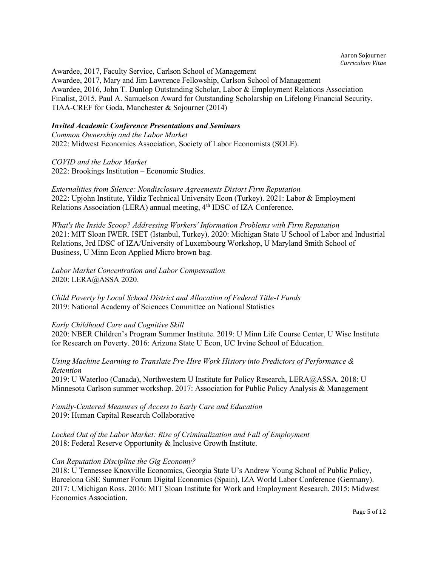Awardee, 2017, Faculty Service, Carlson School of Management Awardee, 2017, Mary and Jim Lawrence Fellowship, Carlson School of Management Awardee, 2016, John T. Dunlop Outstanding Scholar, Labor & Employment Relations Association Finalist, 2015, Paul A. Samuelson Award for Outstanding Scholarship on Lifelong Financial Security, TIAA-CREF for Goda, Manchester & Sojourner (2014)

# Invited Academic Conference Presentations and Seminars

Common Ownership and the Labor Market 2022: Midwest Economics Association, Society of Labor Economists (SOLE).

COVID and the Labor Market 2022: Brookings Institution – Economic Studies.

Externalities from Silence: Nondisclosure Agreements Distort Firm Reputation 2022: Upjohn Institute, Yildiz Technical University Econ (Turkey). 2021: Labor & Employment Relations Association (LERA) annual meeting, 4th IDSC of IZA Conference.

What's the Inside Scoop? Addressing Workers' Information Problems with Firm Reputation 2021: MIT Sloan IWER. ISET (Istanbul, Turkey). 2020: Michigan State U School of Labor and Industrial Relations, 3rd IDSC of IZA/University of Luxembourg Workshop, U Maryland Smith School of Business, U Minn Econ Applied Micro brown bag.

Labor Market Concentration and Labor Compensation 2020: LERA@ASSA 2020.

Child Poverty by Local School District and Allocation of Federal Title-I Funds 2019: National Academy of Sciences Committee on National Statistics

#### Early Childhood Care and Cognitive Skill

2020: NBER Children's Program Summer Institute. 2019: U Minn Life Course Center, U Wisc Institute for Research on Poverty. 2016: Arizona State U Econ, UC Irvine School of Education.

Using Machine Learning to Translate Pre-Hire Work History into Predictors of Performance & Retention

2019: U Waterloo (Canada), Northwestern U Institute for Policy Research, LERA@ASSA. 2018: U Minnesota Carlson summer workshop. 2017: Association for Public Policy Analysis & Management

Family-Centered Measures of Access to Early Care and Education 2019: Human Capital Research Collaborative

Locked Out of the Labor Market: Rise of Criminalization and Fall of Employment 2018: Federal Reserve Opportunity & Inclusive Growth Institute.

# Can Reputation Discipline the Gig Economy?

2018: U Tennessee Knoxville Economics, Georgia State U's Andrew Young School of Public Policy, Barcelona GSE Summer Forum Digital Economics (Spain), IZA World Labor Conference (Germany). 2017: UMichigan Ross. 2016: MIT Sloan Institute for Work and Employment Research. 2015: Midwest Economics Association.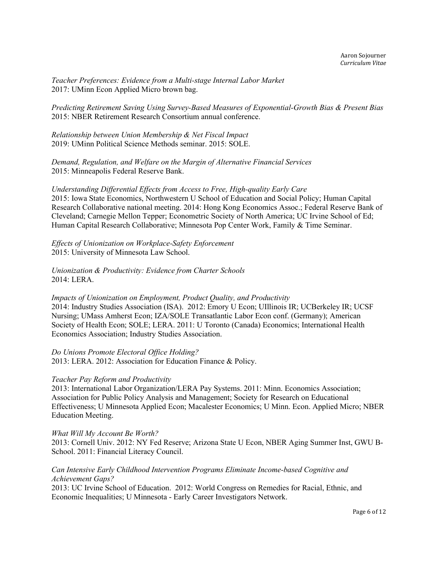Teacher Preferences: Evidence from a Multi-stage Internal Labor Market 2017: UMinn Econ Applied Micro brown bag.

Predicting Retirement Saving Using Survey-Based Measures of Exponential-Growth Bias & Present Bias 2015: NBER Retirement Research Consortium annual conference.

Relationship between Union Membership & Net Fiscal Impact 2019: UMinn Political Science Methods seminar. 2015: SOLE.

Demand, Regulation, and Welfare on the Margin of Alternative Financial Services 2015: Minneapolis Federal Reserve Bank.

Understanding Differential Effects from Access to Free, High-quality Early Care 2015: Iowa State Economics, Northwestern U School of Education and Social Policy; Human Capital Research Collaborative national meeting. 2014: Hong Kong Economics Assoc.; Federal Reserve Bank of Cleveland; Carnegie Mellon Tepper; Econometric Society of North America; UC Irvine School of Ed; Human Capital Research Collaborative; Minnesota Pop Center Work, Family & Time Seminar.

Effects of Unionization on Workplace-Safety Enforcement 2015: University of Minnesota Law School.

Unionization & Productivity: Evidence from Charter Schools 2014: LERA.

Impacts of Unionization on Employment, Product Quality, and Productivity 2014: Industry Studies Association (ISA). 2012: Emory U Econ; UIllinois IR; UCBerkeley IR; UCSF Nursing; UMass Amherst Econ; IZA/SOLE Transatlantic Labor Econ conf. (Germany); American Society of Health Econ; SOLE; LERA. 2011: U Toronto (Canada) Economics; International Health Economics Association; Industry Studies Association.

Do Unions Promote Electoral Office Holding? 2013: LERA. 2012: Association for Education Finance & Policy.

# Teacher Pay Reform and Productivity

2013: International Labor Organization/LERA Pay Systems. 2011: Minn. Economics Association; Association for Public Policy Analysis and Management; Society for Research on Educational Effectiveness; U Minnesota Applied Econ; Macalester Economics; U Minn. Econ. Applied Micro; NBER Education Meeting.

What Will My Account Be Worth?

2013: Cornell Univ. 2012: NY Fed Reserve; Arizona State U Econ, NBER Aging Summer Inst, GWU B-School. 2011: Financial Literacy Council.

## Can Intensive Early Childhood Intervention Programs Eliminate Income-based Cognitive and Achievement Gaps?

2013: UC Irvine School of Education. 2012: World Congress on Remedies for Racial, Ethnic, and Economic Inequalities; U Minnesota - Early Career Investigators Network.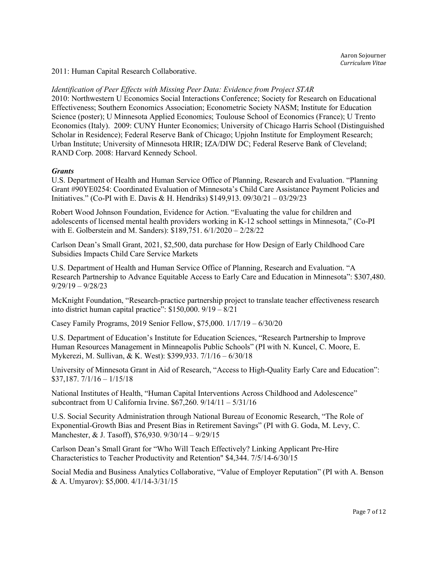2011: Human Capital Research Collaborative.

Identification of Peer Effects with Missing Peer Data: Evidence from Project STAR

2010: Northwestern U Economics Social Interactions Conference; Society for Research on Educational Effectiveness; Southern Economics Association; Econometric Society NASM; Institute for Education Science (poster); U Minnesota Applied Economics; Toulouse School of Economics (France); U Trento Economics (Italy). 2009: CUNY Hunter Economics; University of Chicago Harris School (Distinguished Scholar in Residence); Federal Reserve Bank of Chicago; Upjohn Institute for Employment Research; Urban Institute; University of Minnesota HRIR; IZA/DIW DC; Federal Reserve Bank of Cleveland; RAND Corp. 2008: Harvard Kennedy School.

## **Grants**

U.S. Department of Health and Human Service Office of Planning, Research and Evaluation. "Planning Grant #90YE0254: Coordinated Evaluation of Minnesota's Child Care Assistance Payment Policies and Initiatives." (Co-PI with E. Davis & H. Hendriks) \$149,913. 09/30/21 – 03/29/23

Robert Wood Johnson Foundation, Evidence for Action. "Evaluating the value for children and adolescents of licensed mental health providers working in K-12 school settings in Minnesota," (Co-PI with E. Golberstein and M. Sanders): \$189,751. 6/1/2020 – 2/28/22

Carlson Dean's Small Grant, 2021, \$2,500, data purchase for How Design of Early Childhood Care Subsidies Impacts Child Care Service Markets

U.S. Department of Health and Human Service Office of Planning, Research and Evaluation. "A Research Partnership to Advance Equitable Access to Early Care and Education in Minnesota": \$307,480. 9/29/19 – 9/28/23

McKnight Foundation, "Research-practice partnership project to translate teacher effectiveness research into district human capital practice": \$150,000. 9/19 – 8/21

Casey Family Programs, 2019 Senior Fellow, \$75,000. 1/17/19 – 6/30/20

U.S. Department of Education's Institute for Education Sciences, "Research Partnership to Improve Human Resources Management in Minneapolis Public Schools" (PI with N. Kuncel, C. Moore, E. Mykerezi, M. Sullivan, & K. West): \$399,933. 7/1/16 – 6/30/18

University of Minnesota Grant in Aid of Research, "Access to High-Quality Early Care and Education":  $$37,187.7/1/16 - 1/15/18$ 

National Institutes of Health, "Human Capital Interventions Across Childhood and Adolescence" subcontract from U California Irvine.  $$67,260.9/14/11 - 5/31/16$ 

U.S. Social Security Administration through National Bureau of Economic Research, "The Role of Exponential-Growth Bias and Present Bias in Retirement Savings" (PI with G. Goda, M. Levy, C. Manchester, & J. Tasoff), \$76,930. 9/30/14 – 9/29/15

Carlson Dean's Small Grant for "Who Will Teach Effectively? Linking Applicant Pre-Hire Characteristics to Teacher Productivity and Retention" \$4,344. 7/5/14-6/30/15

Social Media and Business Analytics Collaborative, "Value of Employer Reputation" (PI with A. Benson & A. Umyarov): \$5,000. 4/1/14-3/31/15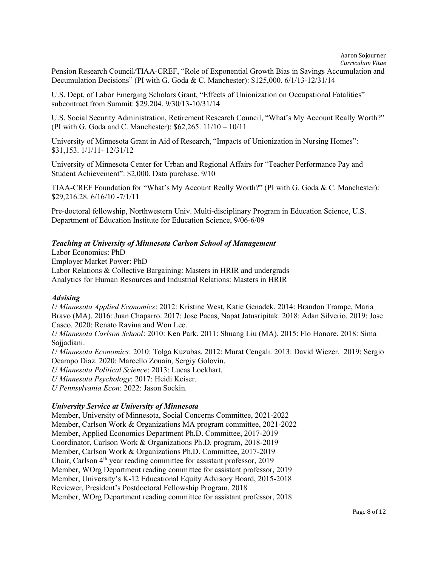Pension Research Council/TIAA-CREF, "Role of Exponential Growth Bias in Savings Accumulation and Decumulation Decisions" (PI with G. Goda & C. Manchester): \$125,000. 6/1/13-12/31/14

U.S. Dept. of Labor Emerging Scholars Grant, "Effects of Unionization on Occupational Fatalities" subcontract from Summit: \$29,204. 9/30/13-10/31/14

U.S. Social Security Administration, Retirement Research Council, "What's My Account Really Worth?" (PI with G. Goda and C. Manchester): \$62,265. 11/10 – 10/11

University of Minnesota Grant in Aid of Research, "Impacts of Unionization in Nursing Homes": \$31,153. 1/1/11- 12/31/12

University of Minnesota Center for Urban and Regional Affairs for "Teacher Performance Pay and Student Achievement": \$2,000. Data purchase. 9/10

TIAA-CREF Foundation for "What's My Account Really Worth?" (PI with G. Goda & C. Manchester): \$29,216.28. 6/16/10 -7/1/11

Pre-doctoral fellowship, Northwestern Univ. Multi-disciplinary Program in Education Science, U.S. Department of Education Institute for Education Science, 9/06-6/09

# Teaching at University of Minnesota Carlson School of Management

Labor Economics: PhD Employer Market Power: PhD Labor Relations & Collective Bargaining: Masters in HRIR and undergrads Analytics for Human Resources and Industrial Relations: Masters in HRIR

#### Advising

U Minnesota Applied Economics: 2012: Kristine West, Katie Genadek. 2014: Brandon Trampe, Maria Bravo (MA). 2016: Juan Chaparro. 2017: Jose Pacas, Napat Jatusripitak. 2018: Adan Silverio. 2019: Jose Casco. 2020: Renato Ravina and Won Lee.

U Minnesota Carlson School: 2010: Ken Park. 2011: Shuang Liu (MA). 2015: Flo Honore. 2018: Sima Sajjadiani.

U Minnesota Economics: 2010: Tolga Kuzubas. 2012: Murat Cengali. 2013: David Wiczer. 2019: Sergio Ocampo Diaz. 2020: Marcello Zouain, Sergiy Golovin.

U Minnesota Political Science: 2013: Lucas Lockhart.

U Minnesota Psychology: 2017: Heidi Keiser.

U Pennsylvania Econ: 2022: Jason Sockin.

#### University Service at University of Minnesota

Member, University of Minnesota, Social Concerns Committee, 2021-2022 Member, Carlson Work & Organizations MA program committee, 2021-2022 Member, Applied Economics Department Ph.D. Committee, 2017-2019 Coordinator, Carlson Work & Organizations Ph.D. program, 2018-2019 Member, Carlson Work & Organizations Ph.D. Committee, 2017-2019 Chair, Carlson 4th year reading committee for assistant professor, 2019 Member, WOrg Department reading committee for assistant professor, 2019 Member, University's K-12 Educational Equity Advisory Board, 2015-2018 Reviewer, President's Postdoctoral Fellowship Program, 2018 Member, WOrg Department reading committee for assistant professor, 2018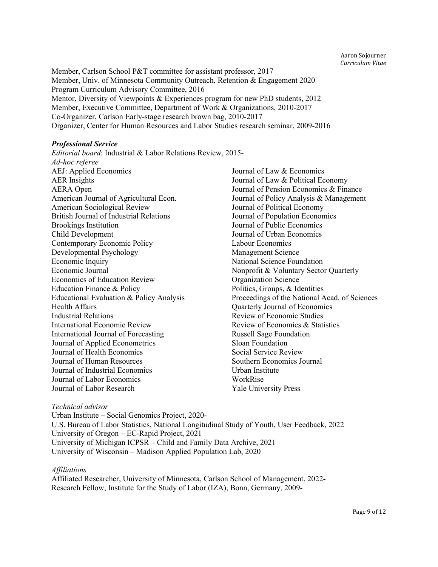Member, Carlson School P&T committee for assistant professor, 2017 Member, Univ. of Minnesota Community Outreach, Retention & Engagement 2020 Program Curriculum Advisory Committee, 2016 Mentor, Diversity of Viewpoints & Experiences program for new PhD students, 2012 Member, Executive Committee, Department of Work & Organizations, 2010-2017 Co-Organizer, Carlson Early-stage research brown bag, 2010-2017 Organizer, Center for Human Resources and Labor Studies research seminar, 2009-2016

#### Professional Service

Editorial board: Industrial & Labor Relations Review, 2015- Ad-hoc referee AEJ: Applied Economics AER Insights AERA Open American Journal of Agricultural Econ. American Sociological Review British Journal of Industrial Relations Brookings Institution Child Development Contemporary Economic Policy Developmental Psychology Economic Inquiry Economic Journal Economics of Education Review Education Finance & Policy Educational Evaluation & Policy Analysis Health Affairs Industrial Relations International Economic Review International Journal of Forecasting Journal of Applied Econometrics Journal of Health Economics Journal of Human Resources Journal of Industrial Economics Journal of Labor Economics Journal of Labor Research

Journal of Law & Economics Journal of Law & Political Economy Journal of Pension Economics & Finance Journal of Policy Analysis & Management Journal of Political Economy Journal of Population Economics Journal of Public Economics Journal of Urban Economics Labour Economics Management Science National Science Foundation Nonprofit & Voluntary Sector Quarterly Organization Science Politics, Groups, & Identities Proceedings of the National Acad. of Sciences Quarterly Journal of Economics Review of Economic Studies Review of Economics & Statistics Russell Sage Foundation Sloan Foundation Social Service Review Southern Economics Journal Urban Institute WorkRise Yale University Press

#### Technical advisor

Urban Institute – Social Genomics Project, 2020- U.S. Bureau of Labor Statistics, National Longitudinal Study of Youth, User Feedback, 2022 University of Oregon – EC-Rapid Project, 2021 University of Michigan ICPSR – Child and Family Data Archive, 2021 University of Wisconsin – Madison Applied Population Lab, 2020

#### Affiliations

Affiliated Researcher, University of Minnesota, Carlson School of Management, 2022- Research Fellow, Institute for the Study of Labor (IZA), Bonn, Germany, 2009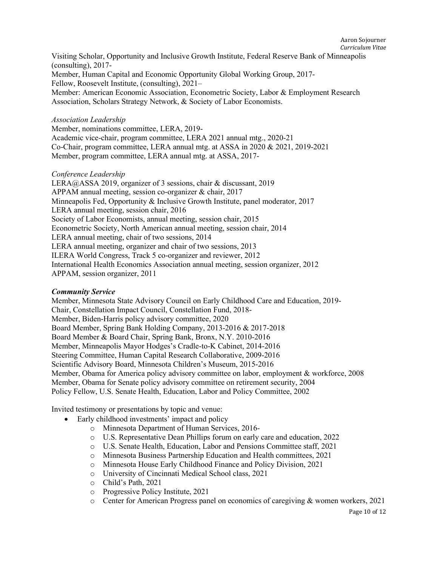Visiting Scholar, Opportunity and Inclusive Growth Institute, Federal Reserve Bank of Minneapolis (consulting), 2017- Member, Human Capital and Economic Opportunity Global Working Group, 2017- Fellow, Roosevelt Institute, (consulting), 2021– Member: American Economic Association, Econometric Society, Labor & Employment Research Association, Scholars Strategy Network, & Society of Labor Economists.

## Association Leadership

Member, nominations committee, LERA, 2019- Academic vice-chair, program committee, LERA 2021 annual mtg., 2020-21 Co-Chair, program committee, LERA annual mtg. at ASSA in 2020 & 2021, 2019-2021 Member, program committee, LERA annual mtg. at ASSA, 2017-

## Conference Leadership

LERA@ASSA 2019, organizer of 3 sessions, chair & discussant, 2019 APPAM annual meeting, session co-organizer & chair, 2017 Minneapolis Fed, Opportunity & Inclusive Growth Institute, panel moderator, 2017 LERA annual meeting, session chair, 2016 Society of Labor Economists, annual meeting, session chair, 2015 Econometric Society, North American annual meeting, session chair, 2014 LERA annual meeting, chair of two sessions, 2014 LERA annual meeting, organizer and chair of two sessions, 2013 ILERA World Congress, Track 5 co-organizer and reviewer, 2012 International Health Economics Association annual meeting, session organizer, 2012 APPAM, session organizer, 2011

#### Community Service

Member, Minnesota State Advisory Council on Early Childhood Care and Education, 2019- Chair, Constellation Impact Council, Constellation Fund, 2018- Member, Biden-Harris policy advisory committee, 2020 Board Member, Spring Bank Holding Company, 2013-2016 & 2017-2018 Board Member & Board Chair, Spring Bank, Bronx, N.Y. 2010-2016 Member, Minneapolis Mayor Hodges's Cradle-to-K Cabinet, 2014-2016 Steering Committee, Human Capital Research Collaborative, 2009-2016 Scientific Advisory Board, Minnesota Children's Museum, 2015-2016 Member, Obama for America policy advisory committee on labor, employment & workforce, 2008 Member, Obama for Senate policy advisory committee on retirement security, 2004 Policy Fellow, U.S. Senate Health, Education, Labor and Policy Committee, 2002

Invited testimony or presentations by topic and venue:

- Early childhood investments' impact and policy
	- o Minnesota Department of Human Services, 2016-
	- o U.S. Representative Dean Phillips forum on early care and education, 2022
	- o U.S. Senate Health, Education, Labor and Pensions Committee staff, 2021
	- o Minnesota Business Partnership Education and Health committees, 2021
	- o Minnesota House Early Childhood Finance and Policy Division, 2021
	- o University of Cincinnati Medical School class, 2021
	- o Child's Path, 2021
	- o Progressive Policy Institute, 2021
	- o Center for American Progress panel on economics of caregiving & women workers, 2021

Page 10 of 12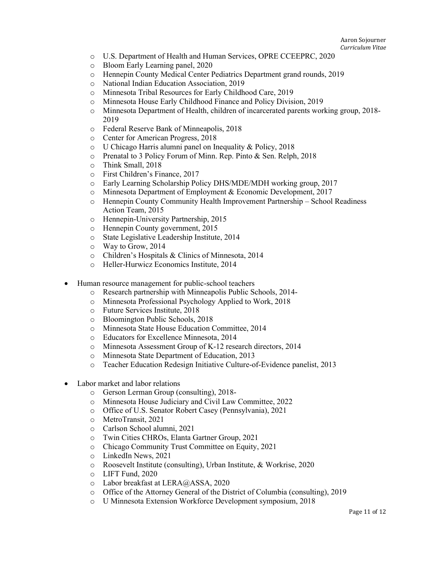- o U.S. Department of Health and Human Services, OPRE CCEEPRC, 2020
- o Bloom Early Learning panel, 2020
- o Hennepin County Medical Center Pediatrics Department grand rounds, 2019
- o National Indian Education Association, 2019
- o Minnesota Tribal Resources for Early Childhood Care, 2019
- o Minnesota House Early Childhood Finance and Policy Division, 2019
- o Minnesota Department of Health, children of incarcerated parents working group, 2018- 2019
- o Federal Reserve Bank of Minneapolis, 2018
- o Center for American Progress, 2018
- o U Chicago Harris alumni panel on Inequality & Policy, 2018
- o Prenatal to 3 Policy Forum of Minn. Rep. Pinto & Sen. Relph, 2018
- o Think Small, 2018
- o First Children's Finance, 2017
- o Early Learning Scholarship Policy DHS/MDE/MDH working group, 2017
- o Minnesota Department of Employment & Economic Development, 2017
- o Hennepin County Community Health Improvement Partnership School Readiness Action Team, 2015
- o Hennepin-University Partnership, 2015
- o Hennepin County government, 2015
- o State Legislative Leadership Institute, 2014
- o Way to Grow, 2014
- o Children's Hospitals & Clinics of Minnesota, 2014
- o Heller-Hurwicz Economics Institute, 2014
- Human resource management for public-school teachers
	- o Research partnership with Minneapolis Public Schools, 2014-
	- o Minnesota Professional Psychology Applied to Work, 2018
	- o Future Services Institute, 2018
	- o Bloomington Public Schools, 2018
	- o Minnesota State House Education Committee, 2014
	- o Educators for Excellence Minnesota, 2014
	- o Minnesota Assessment Group of K-12 research directors, 2014
	- o Minnesota State Department of Education, 2013
	- o Teacher Education Redesign Initiative Culture-of-Evidence panelist, 2013
- Labor market and labor relations
	- o Gerson Lerman Group (consulting), 2018-
	- o Minnesota House Judiciary and Civil Law Committee, 2022
	- o Office of U.S. Senator Robert Casey (Pennsylvania), 2021
	- o MetroTransit, 2021
	- o Carlson School alumni, 2021
	- o Twin Cities CHROs, Elanta Gartner Group, 2021
	- o Chicago Community Trust Committee on Equity, 2021
	- o LinkedIn News, 2021
	- o Roosevelt Institute (consulting), Urban Institute, & Workrise, 2020
	- o LIFT Fund, 2020
	- o Labor breakfast at LERA@ASSA, 2020
	- o Office of the Attorney General of the District of Columbia (consulting), 2019
	- o U Minnesota Extension Workforce Development symposium, 2018